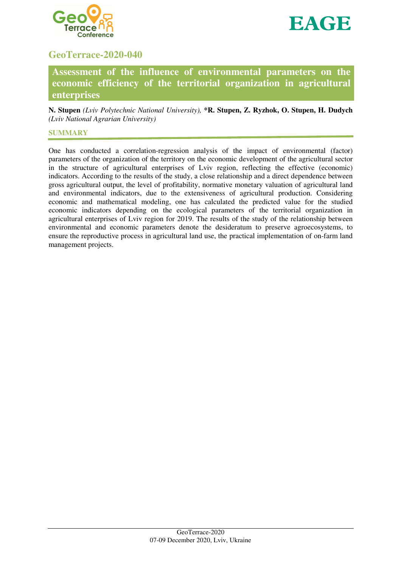



# **GeoTerrace-2020-040**

**Assessment of the influence of environmental parameters on the economic efficiency of the territorial organization in agricultural enterprises** 

**N. Stupen** *(Lviv Polytechnic National University),* **\*R. Stupen, Z. Ryzhok, O. Stupen, H. Dudych** *(Lviv National Agrarian University)*

### **SUMMARY**

One has conducted a correlation-regression analysis of the impact of environmental (factor) parameters of the organization of the territory on the economic development of the agricultural sector in the structure of agricultural enterprises of Lviv region, reflecting the effective (economic) indicators. According to the results of the study, a close relationship and a direct dependence between gross agricultural output, the level of profitability, normative monetary valuation of agricultural land and environmental indicators, due to the extensiveness of agricultural production. Considering economic and mathematical modeling, one has calculated the predicted value for the studied economic indicators depending on the ecological parameters of the territorial organization in agricultural enterprises of Lviv region for 2019. The results of the study of the relationship between environmental and economic parameters denote the desideratum to preserve agroecosystems, to ensure the reproductive process in agricultural land use, the practical implementation of on-farm land management projects.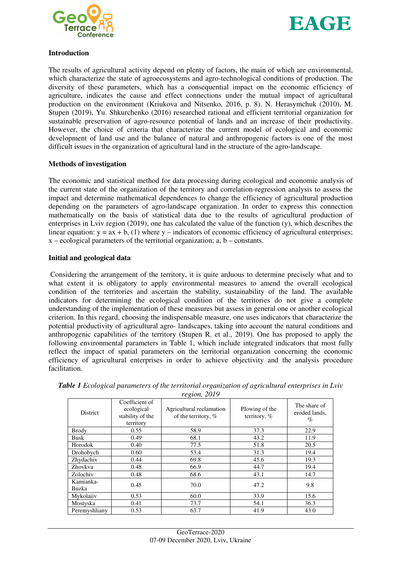



## **Introduction**

The results of agricultural activity depend on plenty of factors, the main of which are environmental, which characterize the state of agroecosystems and agro-technological conditions of production. The diversity of these parameters, which has a consequential impact on the economic efficiency of agriculture, indicates the cause and effect connections under the mutual impact of agricultural production on the environment (Kriukova and Nitsenko, 2016, p. 8). N. Herasymchuk (2010), M. Stupen (2019), Yu. Shkurchenko (2016) researched rational and efficient territorial organization for sustainable preservation of agro-resource potential of lands and an increase of their productivity. However, the choice of criteria that characterize the current model of ecological and economic development of land use and the balance of natural and anthropogenic factors is one of the most difficult issues in the organization of agricultural land in the structure of the agro-landscape.

## **Methods of investigation**

The economic and statistical method for data processing during ecological and economic analysis of the current state of the organization of the territory and correlation-regression analysis to assess the impact and determine mathematical dependences to change the efficiency of agricultural production depending on the parameters of agro-landscape organization. In order to express this connection mathematically on the basis of statistical data due to the results of agricultural production of enterprises in Lviv region (2019), one has calculated the value of the function (y), which describes the linear equation:  $y = ax + b$ , (1) where  $y -$  indicators of economic efficiency of agricultural enterprises;  $x - ecological parameters of the territorial organization: a, b - constants.$ 

## **Initial and geological data**

Considering the arrangement of the territory, it is quite arduous to determine precisely what and to what extent it is obligatory to apply environmental measures to amend the overall ecological condition of the territories and ascertain the stability, sustainability of the land. The available indicators for determining the ecological condition of the territories do not give a complete understanding of the implementation of these measures but assess in general one or another ecological criterion. In this regard, choosing the indispensable measure, one uses indicators that characterize the potential productivity of agricultural agro- landscapes, taking into account the natural conditions and anthropogenic capabilities of the territory (Stupen R. et al., 2019). One has proposed to apply the following environmental parameters in Table 1, which include integrated indicators that most fully reflect the impact of spatial parameters on the territorial organization concerning the economic efficiency of agricultural enterprises in order to achieve objectivity and the analysis procedure facilitation.

| District           | Coefficient of<br>ecological<br>stability of the<br>territory | Agricultural reclamation<br>of the territory, $%$ | Plowing of the<br>territory, % | The share of<br>eroded lands,<br>$\%$ |
|--------------------|---------------------------------------------------------------|---------------------------------------------------|--------------------------------|---------------------------------------|
| <b>Brody</b>       | 0.55                                                          | 58.9                                              | 37.3                           | 22.9                                  |
| <b>Busk</b>        | 0.49                                                          | 68.1                                              | 43.2                           | 11.9                                  |
| Horodok            | 0.40                                                          | 77.5                                              | 51.8                           | 20.5                                  |
| Drohobych          | 0.60                                                          | 53.4                                              | 31.3                           | 19.4                                  |
| Zhydachiv          | 0.44                                                          | 69.8                                              | 45.6                           | 19.3                                  |
| Zhovkva            | 0.48                                                          | 66.9                                              | 44.7                           | 19.4                                  |
| Zolochiv           | 0.48                                                          | 68.6                                              | 43.1                           | 14.7                                  |
| Kamianka-<br>Buzka | 0.45                                                          | 70.0                                              | 47.2                           | 9.8                                   |
| Mykolaiiv          | 0.53                                                          | 60.0                                              | 33.9                           | 15.6                                  |
| Mostyska           | 0.41                                                          | 73.7                                              | 54.1                           | 36.3                                  |
| Peremyshliany      | 0.53                                                          | 63.7                                              | 41.9                           | 43.0                                  |

*Table 1 Ecological parameters of the territorial organization of agricultural enterprises in Lviv region, 2019*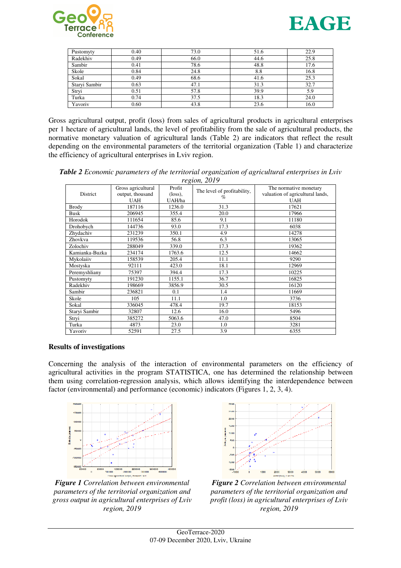



| Pustomyty     | 0.40 | 73.0 | 51.6 | 22.9 |
|---------------|------|------|------|------|
| Radekhiv      | 0.49 | 66.0 | 44.6 | 25.8 |
| Sambir        | 0.41 | 78.6 | 48.8 | 17.6 |
| Skole         | 0.84 | 24.8 | 8.8  | 16.8 |
| Sokal         | 0.49 | 68.6 | 41.6 | 25.3 |
| Staryi Sambir | 0.63 | 47.1 | 31.3 | 32.7 |
| Stryi         | 0.51 | 57.8 | 39.9 | 5.9  |
| Turka         | 0.74 | 37.5 | 18.3 | 24.0 |
| Yavoriv       | 0.60 | 43.8 | 23.6 | 16.0 |

Gross agricultural output, profit (loss) from sales of agricultural products in agricultural enterprises per 1 hectare of agricultural lands, the level of profitability from the sale of agricultural products, the normative monetary valuation of agricultural lands (Table 2) are indicators that reflect the result depending on the environmental parameters of the territorial organization (Table 1) and characterize the efficiency of agricultural enterprises in Lviv region.

*Table 2 Economic parameters of the territorial organization of agricultural enterprises in Lviv region, 2019* 

| District       | Gross agricultural | Profit            | The level of profitability,<br>$\%$ | The normative monetary           |
|----------------|--------------------|-------------------|-------------------------------------|----------------------------------|
|                | output, thousand   | $(\text{loss})$ , |                                     | valuation of agricultural lands, |
|                | <b>UAH</b>         | UAH/ha            |                                     | <b>UAH</b>                       |
| <b>Brody</b>   | 187116             | 1236.0            | 31.3                                | 17621                            |
| Busk           | 206945             | 355.4             | 20.0                                | 17966                            |
| Horodok        | 111654             | 85.6              | 9.1                                 | 11180                            |
| Drohobych      | 144736             | 93.0              | 17.3                                | 6038                             |
| Zhydachiv      | 231239             | 350.1             | 4.9                                 | 14278                            |
| Zhovkva        | 119536             | 56.8              | 6.3                                 | 13065                            |
| Zolochiv       | 288049             | 339.0             | 17.3                                | 19362                            |
| Kamianka-Buzka | 234174             | 1763.6            | 12.5                                | 14662                            |
| Mykolaiiv      | 158539             | 205.4             | 11.1                                | 9290                             |
| Mostyska       | 92111              | 423.0             | 18.1                                | 12969                            |
| Peremyshliany  | 75397              | 394.4             | 17.3                                | 10225                            |
| Pustomyty      | 191230             | 1155.1            | 36.7                                | 16825                            |
| Radekhiv       | 198669             | 3856.9            | 30.5                                | 16120                            |
| Sambir         | 236821             | 0.1               | 1.4                                 | 11669                            |
| Skole          | 105                | 11.1              | 1.0                                 | 3736                             |
| Sokal          | 336045             | 478.4             | 19.7                                | 18153                            |
| Staryi Sambir  | 32807              | 12.6              | 16.0                                | 5496                             |
| Stryi          | 385272             | 5063.6            | 47.0                                | 8504                             |
| Turka          | 4873               | 23.0              | 1.0                                 | 3281                             |
| Yavoriv        | 52591              | 27.5              | 3.9                                 | 6355                             |

#### **Results of investigations**

Concerning the analysis of the interaction of environmental parameters on the efficiency of agricultural activities in the program STATISTICА, one has determined the relationship between them using correlation-regression analysis, which allows identifying the interdependence between factor (environmental) and performance (economic) indicators (Figures 1, 2, 3, 4).



*Figure 1 Correlation between environmental parameters of the territorial organization and gross output in agricultural enterprises of Lviv region, 2019* 



*Figure 2 Correlation between environmental parameters of the territorial organization and profit (loss) in agricultural enterprises of Lviv region, 2019*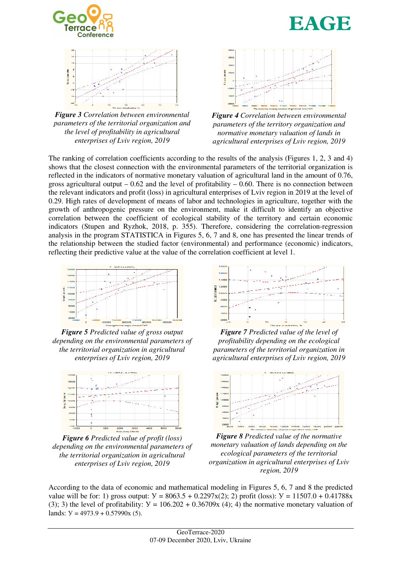



*Figure 3 Correlation between environmental parameters of the territorial organization and the level of profitability in agricultural enterprises of Lviv region, 2019* 



*Figure 4 Correlation between environmental parameters of the territory organization and normative monetary valuation of lands in agricultural enterprises of Lviv region, 2019* 

The ranking of correlation coefficients according to the results of the analysis (Figures 1, 2, 3 and 4) shows that the closest connection with the environmental parameters of the territorial organization is reflected in the indicators of normative monetary valuation of agricultural land in the amount of 0.76, gross agricultural output  $-0.62$  and the level of profitability  $-0.60$ . There is no connection between the relevant indicators and profit (loss) in agricultural enterprises of Lviv region in 2019 at the level of 0.29. High rates of development of means of labor and technologies in agriculture, together with the growth of anthropogenic pressure on the environment, make it difficult to identify an objective correlation between the coefficient of ecological stability of the territory and certain economic indicators (Stupen and Ryzhok, 2018, p. 355). Therefore, considering the correlation-regression analysis in the program STATISTICА in Figures 5, 6, 7 and 8, one has presented the linear trends of the relationship between the studied factor (environmental) and performance (economic) indicators, reflecting their predictive value at the value of the correlation coefficient at level 1.



*Figure 5 Predicted value of gross output depending on the environmental parameters of the territorial organization in agricultural enterprises of Lviv region, 2019* 



*Figure 6 Predicted value of profit (loss) depending on the environmental parameters of the territorial organization in agricultural enterprises of Lviv region, 2019* 



*Figure 7 Predicted value of the level of profitability depending on the ecological parameters of the territorial organization in agricultural enterprises of Lviv region, 2019* 



*Figure 8 Predicted value of the normative monetary valuation of lands depending on the ecological parameters of the territorial organization in agricultural enterprises of Lviv region, 2019* 

According to the data of economic and mathematical modeling in Figures 5, 6, 7 and 8 the predicted value will be for: 1) gross output:  $V = 8063.5 + 0.2297x(2)$ ; 2) profit (loss):  $V = 11507.0 + 0.41788x$ (3); 3) the level of profitability:  $Y = 106.202 + 0.36709x$  (4); 4) the normative monetary valuation of lands:  $Y = 4973.9 + 0.57990x(5)$ .